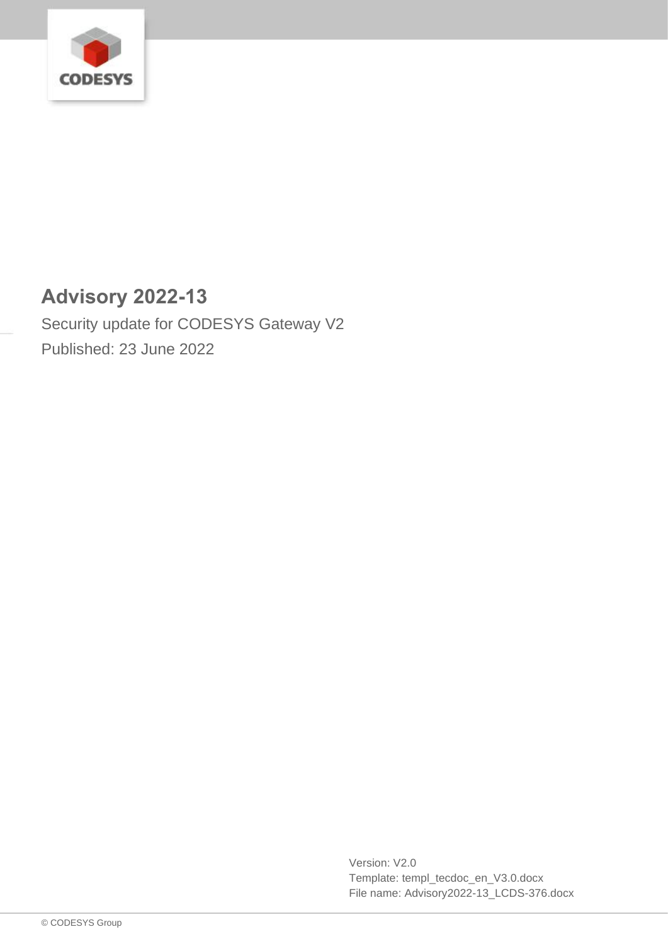

# **Advisory 2022-13**

Security update for CODESYS Gateway V2 Published: 23 June 2022

> Version: V2.0 Template: templ\_tecdoc\_en\_V3.0.docx File name: Advisory2022-13\_LCDS-376.docx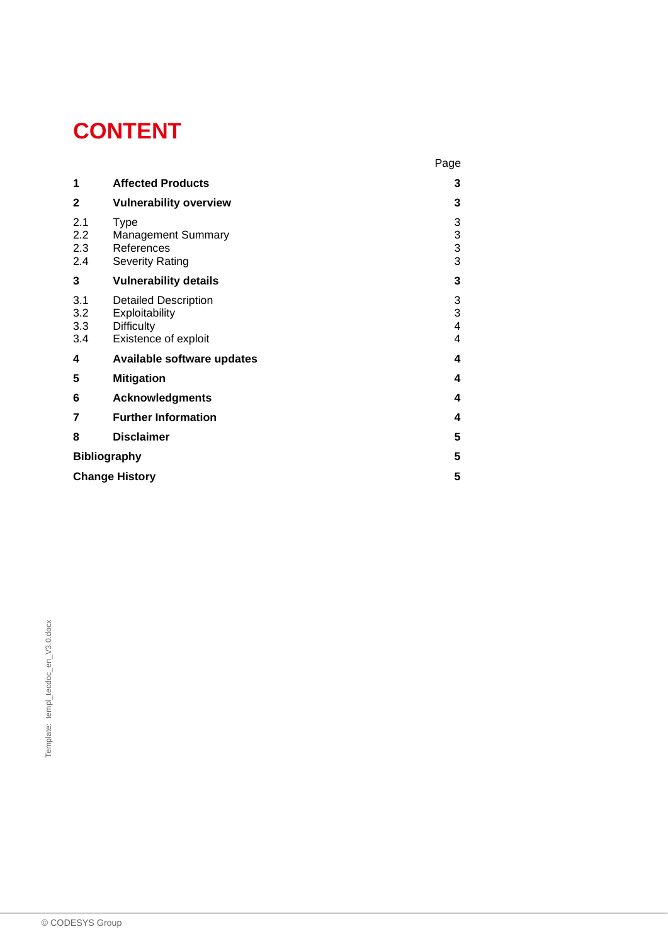# **CONTENT**

|                          |                                                                                            | Page                                          |
|--------------------------|--------------------------------------------------------------------------------------------|-----------------------------------------------|
| 1                        | <b>Affected Products</b>                                                                   | 3                                             |
| $\mathbf{2}$             | <b>Vulnerability overview</b>                                                              | 3                                             |
| 2.1<br>2.2<br>2.3<br>2.4 | <b>Type</b><br><b>Management Summary</b><br>References<br><b>Severity Rating</b>           | 3<br>3<br>$\frac{3}{3}$                       |
| 3                        | <b>Vulnerability details</b>                                                               | 3                                             |
| 3.1<br>3.2<br>3.3<br>3.4 | <b>Detailed Description</b><br>Exploitability<br><b>Difficulty</b><br>Existence of exploit | $\frac{3}{3}$<br>$\overline{\mathbf{4}}$<br>4 |
| 4                        | Available software updates                                                                 | 4                                             |
| 5                        | <b>Mitigation</b>                                                                          | 4                                             |
| 6                        | <b>Acknowledgments</b>                                                                     | 4                                             |
| 7                        | <b>Further Information</b>                                                                 | 4                                             |
| 8                        | <b>Disclaimer</b>                                                                          | 5                                             |
| <b>Bibliography</b>      |                                                                                            | 5                                             |
| <b>Change History</b>    |                                                                                            |                                               |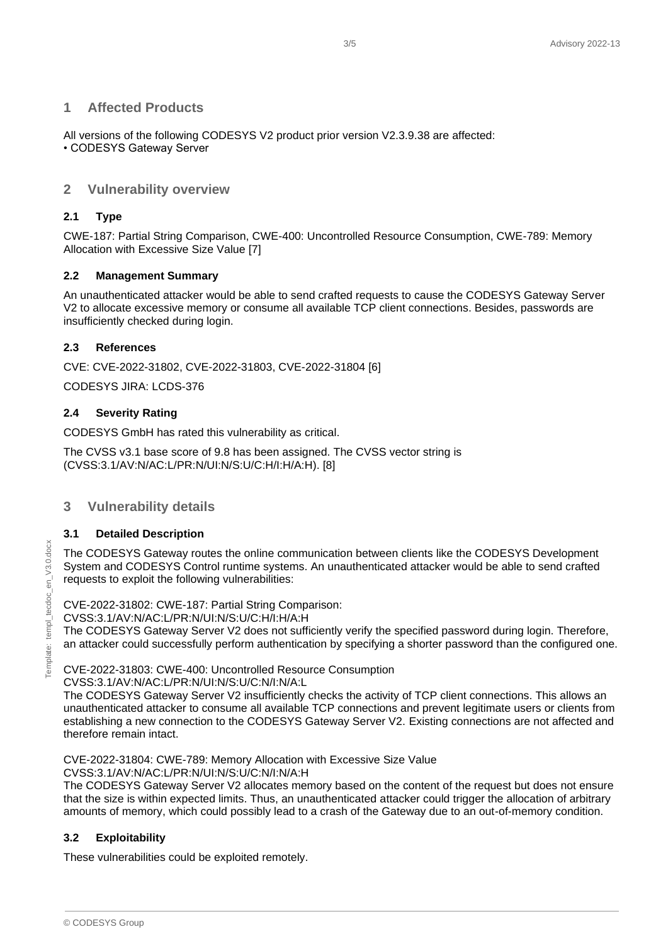#### <span id="page-2-0"></span>**1 Affected Products**

All versions of the following CODESYS V2 product prior version V2.3.9.38 are affected: • CODESYS Gateway Server

### <span id="page-2-1"></span>**2 Vulnerability overview**

#### <span id="page-2-2"></span>**2.1 Type**

CWE-187: Partial String Comparison, CWE-400: Uncontrolled Resource Consumption, CWE-789: Memory Allocation with Excessive Size Value [7]

#### <span id="page-2-3"></span>**2.2 Management Summary**

An unauthenticated attacker would be able to send crafted requests to cause the CODESYS Gateway Server V2 to allocate excessive memory or consume all available TCP client connections. Besides, passwords are insufficiently checked during login.

#### <span id="page-2-4"></span>**2.3 References**

CVE: CVE-2022-31802, CVE-2022-31803, CVE-2022-31804 [6]

CODESYS JIRA: LCDS-376

#### <span id="page-2-5"></span>**2.4 Severity Rating**

CODESYS GmbH has rated this vulnerability as critical.

The CVSS v3.1 base score of 9.8 has been assigned. The CVSS vector string is (CVSS:3.1/AV:N/AC:L/PR:N/UI:N/S:U/C:H/I:H/A:H). [8]

#### <span id="page-2-6"></span>**3 Vulnerability details**

#### <span id="page-2-7"></span>**3.1 Detailed Description**

The CODESYS Gateway routes the online communication between clients like the CODESYS Development System and CODESYS Control runtime systems. An unauthenticated attacker would be able to send crafted requests to exploit the following vulnerabilities:

CVE-2022-31802: CWE-187: Partial String Comparison:

CVSS:3.1/AV:N/AC:L/PR:N/UI:N/S:U/C:H/I:H/A:H

The CODESYS Gateway Server V2 does not sufficiently verify the specified password during login. Therefore, an attacker could successfully perform authentication by specifying a shorter password than the configured one.

CVE-2022-31803: CWE-400: Uncontrolled Resource Consumption

CVSS:3.1/AV:N/AC:L/PR:N/UI:N/S:U/C:N/I:N/A:L

The CODESYS Gateway Server V2 insufficiently checks the activity of TCP client connections. This allows an unauthenticated attacker to consume all available TCP connections and prevent legitimate users or clients from establishing a new connection to the CODESYS Gateway Server V2. Existing connections are not affected and therefore remain intact.

CVE-2022-31804: CWE-789: Memory Allocation with Excessive Size Value CVSS:3.1/AV:N/AC:L/PR:N/UI:N/S:U/C:N/I:N/A:H

The CODESYS Gateway Server V2 allocates memory based on the content of the request but does not ensure that the size is within expected limits. Thus, an unauthenticated attacker could trigger the allocation of arbitrary amounts of memory, which could possibly lead to a crash of the Gateway due to an out-of-memory condition.

#### <span id="page-2-8"></span>**3.2 Exploitability**

These vulnerabilities could be exploited remotely.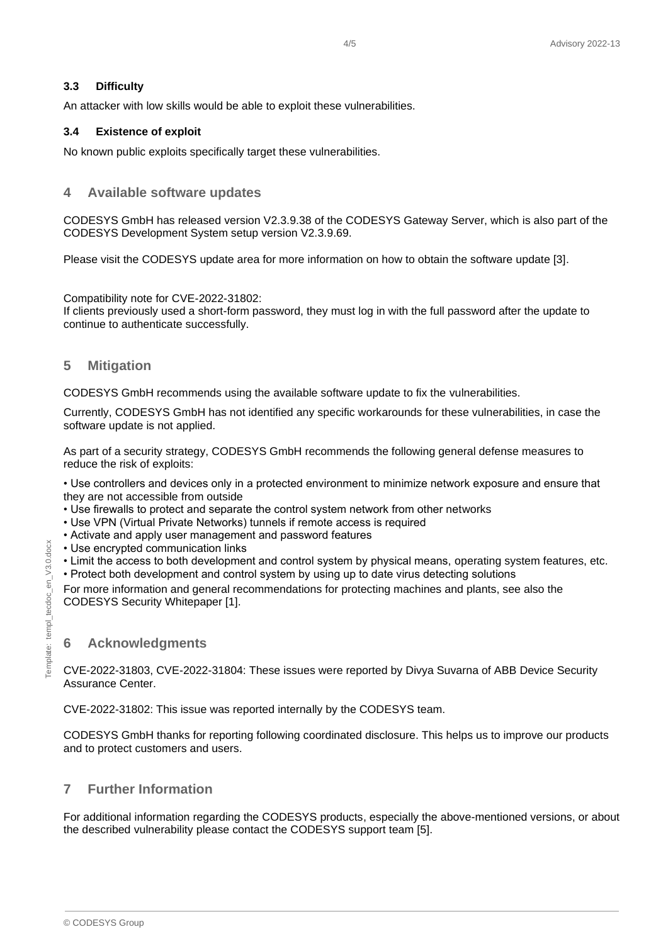#### <span id="page-3-0"></span>**3.3 Difficulty**

An attacker with low skills would be able to exploit these vulnerabilities.

#### <span id="page-3-1"></span>**3.4 Existence of exploit**

<span id="page-3-2"></span>No known public exploits specifically target these vulnerabilities.

#### **4 Available software updates**

CODESYS GmbH has released version V2.3.9.38 of the CODESYS Gateway Server, which is also part of the CODESYS Development System setup version V2.3.9.69.

Please visit the CODESYS update area for more information on how to obtain the software update [3].

Compatibility note for CVE-2022-31802:

If clients previously used a short-form password, they must log in with the full password after the update to continue to authenticate successfully.

#### <span id="page-3-3"></span>**5 Mitigation**

CODESYS GmbH recommends using the available software update to fix the vulnerabilities.

Currently, CODESYS GmbH has not identified any specific workarounds for these vulnerabilities, in case the software update is not applied.

As part of a security strategy, CODESYS GmbH recommends the following general defense measures to reduce the risk of exploits:

• Use controllers and devices only in a protected environment to minimize network exposure and ensure that they are not accessible from outside

- Use firewalls to protect and separate the control system network from other networks
- Use VPN (Virtual Private Networks) tunnels if remote access is required
- Activate and apply user management and password features
- Use encrypted communication links
- Limit the access to both development and control system by physical means, operating system features, etc.
- Protect both development and control system by using up to date virus detecting solutions

For more information and general recommendations for protecting machines and plants, see also the CODESYS Security Whitepaper [1].

#### <span id="page-3-4"></span>**6 Acknowledgments**

CVE-2022-31803, CVE-2022-31804: These issues were reported by Divya Suvarna of ABB Device Security Assurance Center.

CVE-2022-31802: This issue was reported internally by the CODESYS team.

CODESYS GmbH thanks for reporting following coordinated disclosure. This helps us to improve our products and to protect customers and users.

# <span id="page-3-5"></span>**7 Further Information**

For additional information regarding the CODESYS products, especially the above-mentioned versions, or about the described vulnerability please contact the CODESYS support team [5].